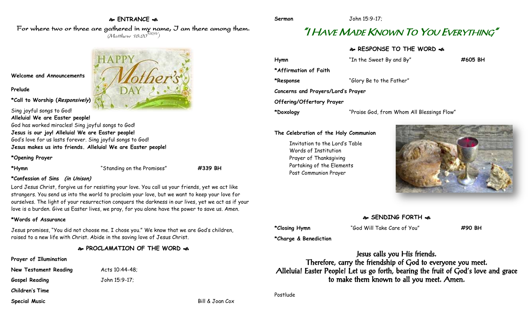### **ENTRANCE**

For where two or three are gathered in my name, I am there among them.  $(M$ atthew 18:20 $^{NRSV})$ 

**Welcome and Announcements**

### **Prelude**

**\*Call to Worship (Responsively)** 

Sing joyful songs to God! **Alleluia! We are Easter people!** God has worked miracles! Sing joyful songs to God!

**Jesus is our joy! Alleluia! We are Easter people!** God's love for us lasts forever. Sing joyful songs to God! **Jesus makes us into friends. Alleluia! We are Easter people!**

### **\*Opening Prayer**

**\*Hymn** "Standing on the Promises" **#339 BH**

### **\*Confession of Sins (in Unison)**

Lord Jesus Christ, forgive us for resisting your love. You call us your friends, yet we act like strangers. You send us into the world to proclaim your love, but we want to keep your love for ourselves. The light of your resurrection conquers the darkness in our lives, yet we act as if your love is a burden. Give us Easter lives, we pray, for you alone have the power to save us. Amen.

### **\*Words of Assurance**

Jesus promises, "You did not choose me. I chose you." We know that we are God's children, raised to a new life with Christ. Abide in the saving love of Jesus Christ.

### **PROCLAMATION OF THE WORD**

- **Prayer of Illumination**
- **New Testament Reading Mets 10:44-48;**

**Gospel Reading** John 15:9-17;

**Children's Time**

**Special Music** Bill & Joan Cox



# "I HAVE MADE KNOWN TO YOU EVERYTHING"

### **RESPONSE TO THE WORD**

| Hymn                               | "In the Sweet By and By"                   | #605 BH |
|------------------------------------|--------------------------------------------|---------|
| *Affirmation of Faith              |                                            |         |
| *Response                          | "Glory Be to the Father"                   |         |
| Concerns and Prayers/Lord's Prayer |                                            |         |
| Offering/Offertory Prayer          |                                            |         |
| *Doxology                          | "Praise God, from Whom All Blessings Flow" |         |

### **The Celebration of the Holy Communion**

Invitation to the Lord's Table Words of Institution Prayer of Thanksgiving Partaking of the Elements Post Communion Prayer



## **SENDING FORTH**

**\*Charge & Benediction**

**\*Closing Hymn** "God Will Take Care of You" **#90 BH**

Jesus calls you His friends. Therefore, carry the friendship of God to everyone you meet. Alleluia! Easter People! Let us go forth, bearing the fruit of God's love and grace to make them known to all you meet. Amen.

Postlude

**Sermon** John 15:9-17;